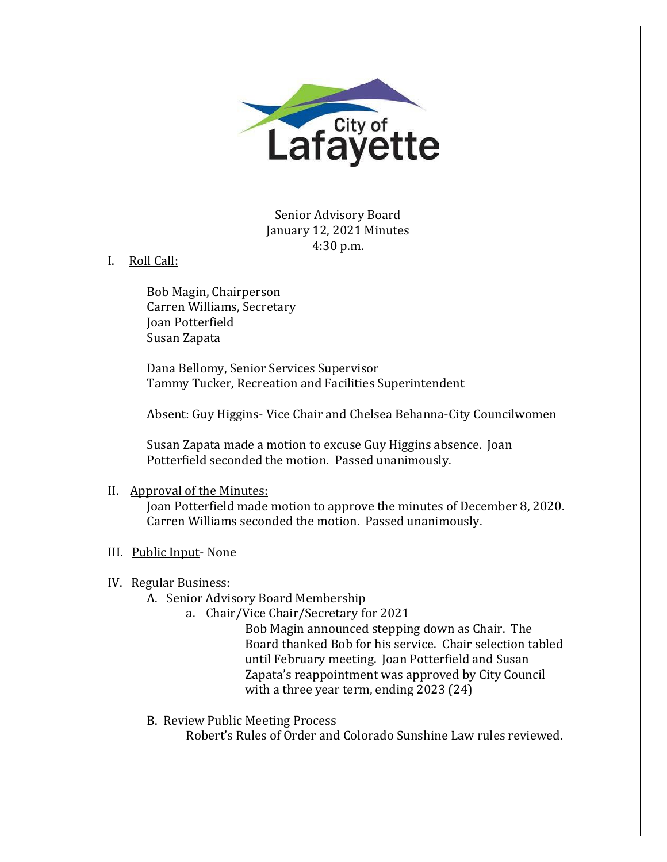

Senior Advisory Board January 12, 2021 Minutes 4:30 p.m.

I. Roll Call:

Bob Magin, Chairperson Carren Williams, Secretary Joan Potterfield Susan Zapata

Dana Bellomy, Senior Services Supervisor Tammy Tucker, Recreation and Facilities Superintendent

Absent: Guy Higgins- Vice Chair and Chelsea Behanna-City Councilwomen

Susan Zapata made a motion to excuse Guy Higgins absence. Joan Potterfield seconded the motion. Passed unanimously.

# II. Approval of the Minutes:

Joan Potterfield made motion to approve the minutes of December 8, 2020. Carren Williams seconded the motion. Passed unanimously.

### III. Public Input- None

# IV. Regular Business:

- A. Senior Advisory Board Membership
	- a. Chair/Vice Chair/Secretary for 2021

Bob Magin announced stepping down as Chair. The Board thanked Bob for his service. Chair selection tabled until February meeting. Joan Potterfield and Susan Zapata's reappointment was approved by City Council with a three year term, ending 2023 (24)

B. Review Public Meeting Process

Robert's Rules of Order and Colorado Sunshine Law rules reviewed.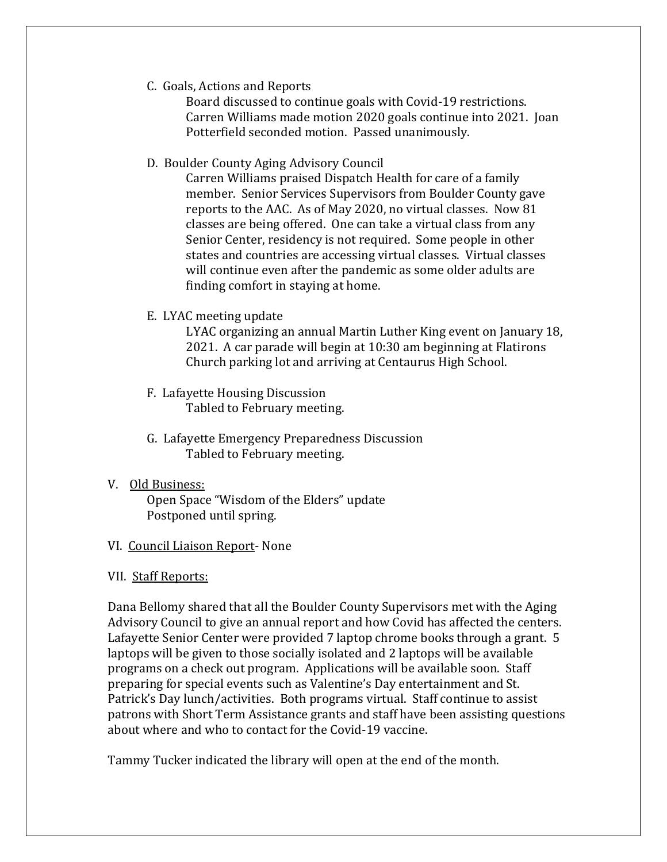C. Goals, Actions and Reports

Board discussed to continue goals with Covid-19 restrictions. Carren Williams made motion 2020 goals continue into 2021. Joan Potterfield seconded motion. Passed unanimously.

D. Boulder County Aging Advisory Council

Carren Williams praised Dispatch Health for care of a family member. Senior Services Supervisors from Boulder County gave reports to the AAC. As of May 2020, no virtual classes. Now 81 classes are being offered. One can take a virtual class from any Senior Center, residency is not required. Some people in other states and countries are accessing virtual classes. Virtual classes will continue even after the pandemic as some older adults are finding comfort in staying at home.

E. LYAC meeting update

LYAC organizing an annual Martin Luther King event on January 18, 2021. A car parade will begin at 10:30 am beginning at Flatirons Church parking lot and arriving at Centaurus High School.

- F. Lafayette Housing Discussion Tabled to February meeting.
- G. Lafayette Emergency Preparedness Discussion Tabled to February meeting.
- V. Old Business:

Open Space "Wisdom of the Elders" update Postponed until spring.

### VI. Council Liaison Report- None

#### VII. Staff Reports:

Dana Bellomy shared that all the Boulder County Supervisors met with the Aging Advisory Council to give an annual report and how Covid has affected the centers. Lafayette Senior Center were provided 7 laptop chrome books through a grant. 5 laptops will be given to those socially isolated and 2 laptops will be available programs on a check out program. Applications will be available soon. Staff preparing for special events such as Valentine's Day entertainment and St. Patrick's Day lunch/activities. Both programs virtual. Staff continue to assist patrons with Short Term Assistance grants and staff have been assisting questions about where and who to contact for the Covid-19 vaccine.

Tammy Tucker indicated the library will open at the end of the month.